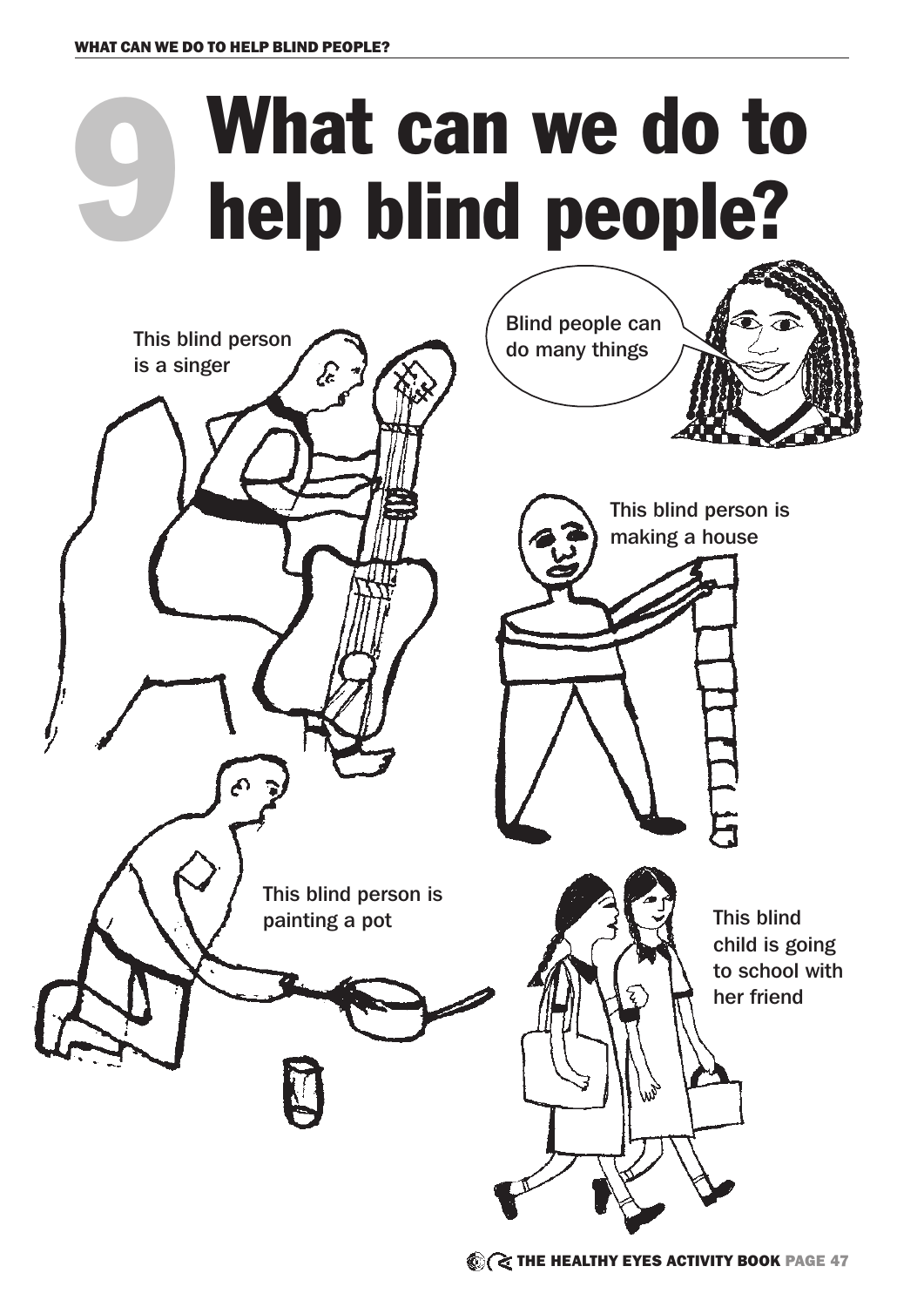## 9 What can we do to help blind people?

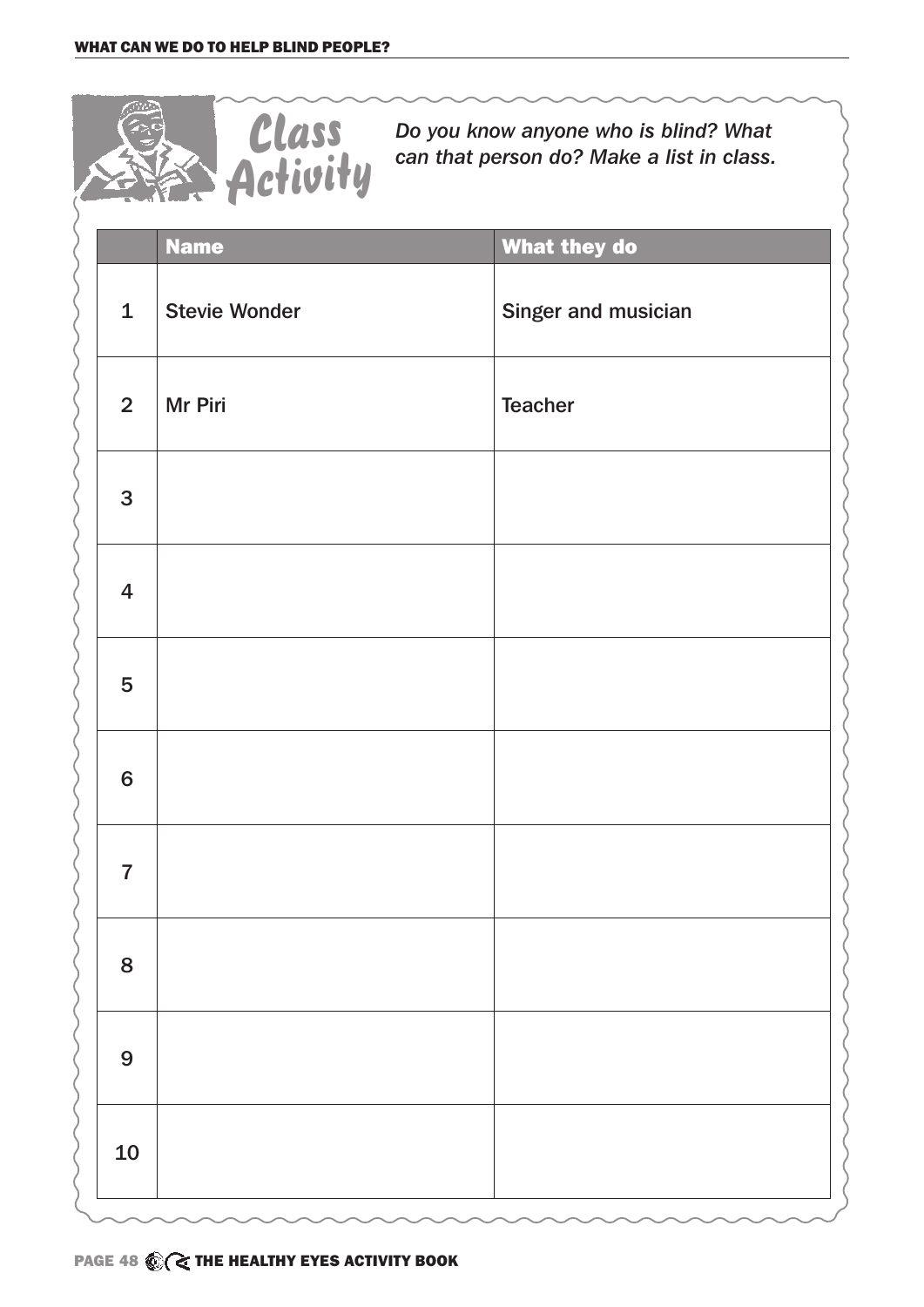

*Do you know anyone who is blind? What can that person do? Make a list in class.*

|                  | <b>Name</b>          | What they do        |
|------------------|----------------------|---------------------|
| $\mathbf 1$      | <b>Stevie Wonder</b> | Singer and musician |
| 2 <sup>1</sup>   | Mr Piri              | <b>Teacher</b>      |
| 3                |                      |                     |
| $\overline{4}$   |                      |                     |
| 5                |                      |                     |
| $6\phantom{a}$   |                      |                     |
| $\overline{7}$   |                      |                     |
| 8                |                      |                     |
| $\boldsymbol{9}$ |                      |                     |
| 10               |                      |                     |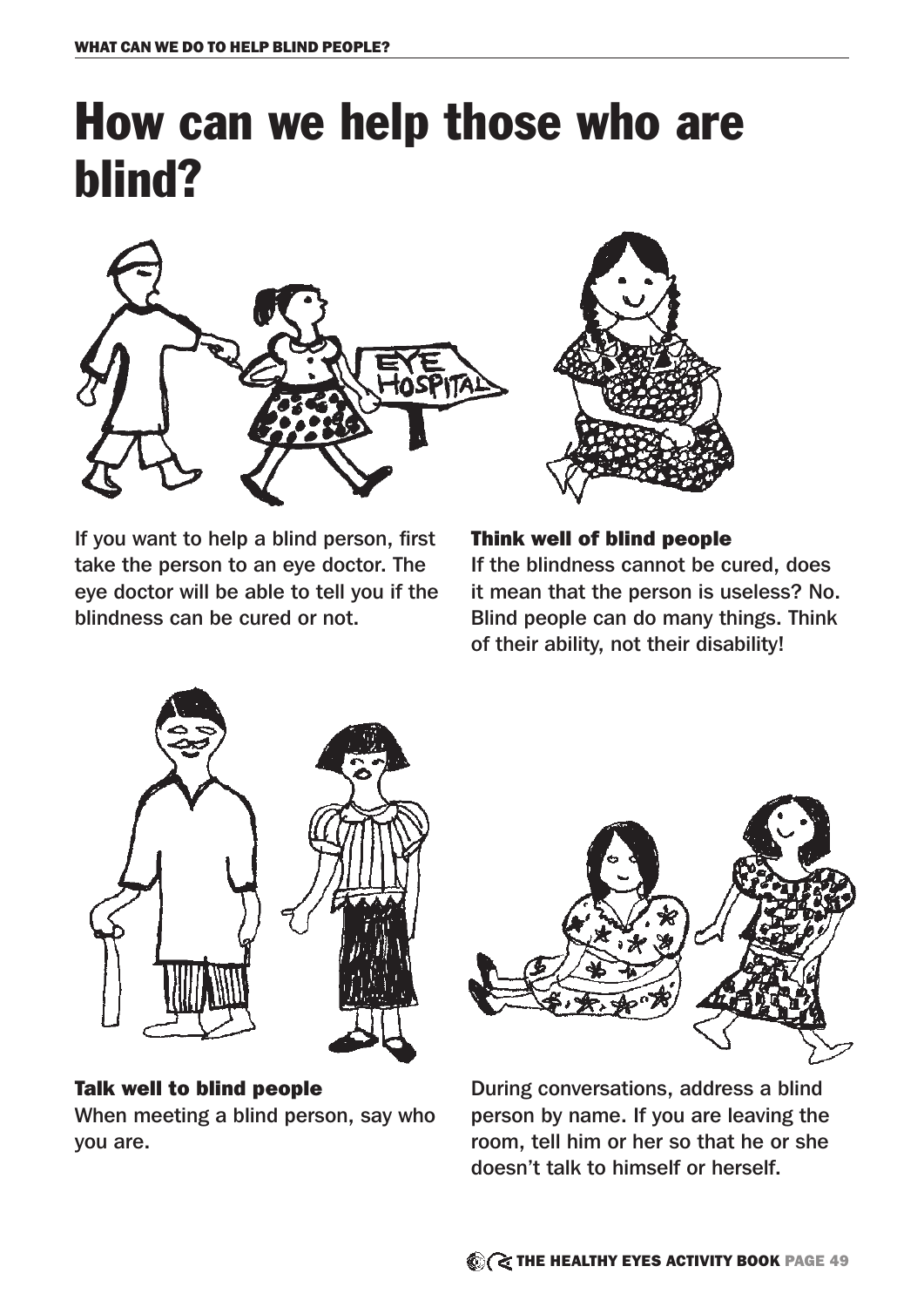## How can we help those who are blind?



If you want to help a blind person, first take the person to an eye doctor. The eye doctor will be able to tell you if the blindness can be cured or not.



Think well of blind people

If the blindness cannot be cured, does it mean that the person is useless? No. Blind people can do many things. Think of their ability, not their disability!



## Talk well to blind people

When meeting a blind person, say who you are.



During conversations, address a blind person by name. If you are leaving the room, tell him or her so that he or she doesn't talk to himself or herself.